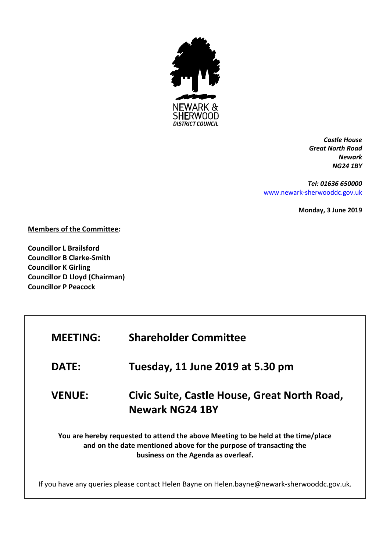

*Castle House Great North Road Newark NG24 1BY*

*Tel: 01636 650000* [www.newark-sherwooddc.gov.uk](http://www.newark-sherwooddc.gov.uk/)

**Monday, 3 June 2019**

**Members of the Committee:**

**Councillor L Brailsford Councillor B Clarke-Smith Councillor K Girling Councillor D Lloyd (Chairman) Councillor P Peacock**

| <b>MEETING:</b> | <b>Shareholder Committee</b>                                                                                                                                                                   |
|-----------------|------------------------------------------------------------------------------------------------------------------------------------------------------------------------------------------------|
| <b>DATE:</b>    | Tuesday, 11 June 2019 at 5.30 pm                                                                                                                                                               |
| <b>VENUE:</b>   | Civic Suite, Castle House, Great North Road,<br><b>Newark NG24 1BY</b>                                                                                                                         |
|                 | You are hereby requested to attend the above Meeting to be held at the time/place<br>and on the date mentioned above for the purpose of transacting the<br>business on the Agenda as overleaf. |
|                 | If you have any queries please contact Helen Bayne on Helen.bayne@newark-sherwooddc.gov.uk.                                                                                                    |